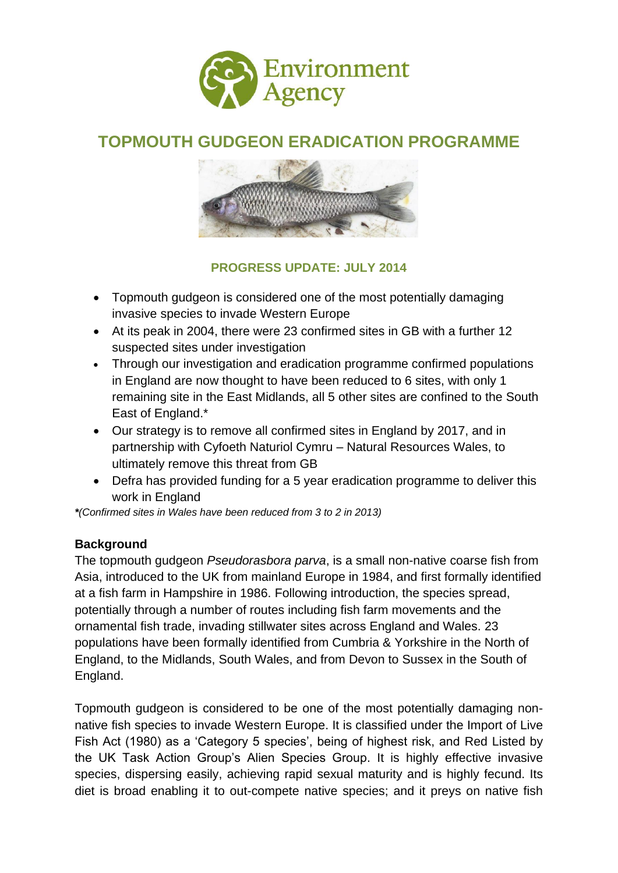

# **TOPMOUTH GUDGEON ERADICATION PROGRAMME**



## **PROGRESS UPDATE: JULY 2014**

- Topmouth gudgeon is considered one of the most potentially damaging invasive species to invade Western Europe
- At its peak in 2004, there were 23 confirmed sites in GB with a further 12 suspected sites under investigation
- Through our investigation and eradication programme confirmed populations in England are now thought to have been reduced to 6 sites, with only 1 remaining site in the East Midlands, all 5 other sites are confined to the South East of England.\*
- Our strategy is to remove all confirmed sites in England by 2017, and in partnership with Cyfoeth Naturiol Cymru – Natural Resources Wales, to ultimately remove this threat from GB
- Defra has provided funding for a 5 year eradication programme to deliver this work in England

*\*(Confirmed sites in Wales have been reduced from 3 to 2 in 2013)*

## **Background**

The topmouth gudgeon *Pseudorasbora parva*, is a small non-native coarse fish from Asia, introduced to the UK from mainland Europe in 1984, and first formally identified at a fish farm in Hampshire in 1986. Following introduction, the species spread, potentially through a number of routes including fish farm movements and the ornamental fish trade, invading stillwater sites across England and Wales. 23 populations have been formally identified from Cumbria & Yorkshire in the North of England, to the Midlands, South Wales, and from Devon to Sussex in the South of England.

Topmouth gudgeon is considered to be one of the most potentially damaging nonnative fish species to invade Western Europe. It is classified under the Import of Live Fish Act (1980) as a 'Category 5 species', being of highest risk, and Red Listed by the UK Task Action Group's Alien Species Group. It is highly effective invasive species, dispersing easily, achieving rapid sexual maturity and is highly fecund. Its diet is broad enabling it to out-compete native species; and it preys on native fish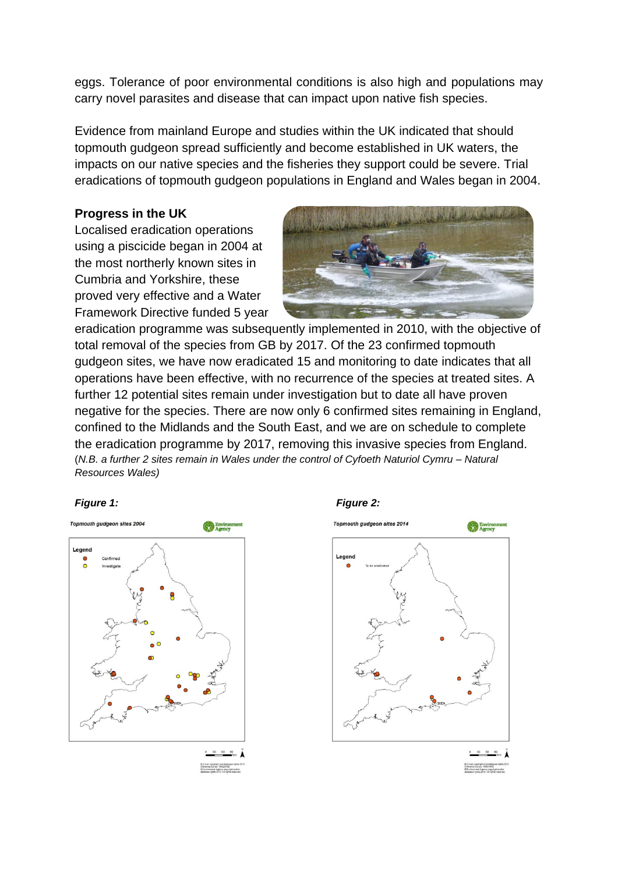eggs. Tolerance of poor environmental conditions is also high and populations may carry novel parasites and disease that can impact upon native fish species.

Evidence from mainland Europe and studies within the UK indicated that should topmouth gudgeon spread sufficiently and become established in UK waters, the impacts on our native species and the fisheries they support could be severe. Trial eradications of topmouth gudgeon populations in England and Wales began in 2004.

## **Progress in the UK**

Localised eradication operations using a piscicide began in 2004 at the most northerly known sites in Cumbria and Yorkshire, these proved very effective and a Water Framework Directive funded 5 year



eradication programme was subsequently implemented in 2010, with the objective of total removal of the species from GB by 2017. Of the 23 confirmed topmouth gudgeon sites, we have now eradicated 15 and monitoring to date indicates that all operations have been effective, with no recurrence of the species at treated sites. A further 12 potential sites remain under investigation but to date all have proven negative for the species. There are now only 6 confirmed sites remaining in England, confined to the Midlands and the South East, and we are on schedule to complete the eradication programme by 2017, removing this invasive species from England. (*N.B. a further 2 sites remain in Wales under the control of Cyfoeth Naturiol Cymru – Natural Resources Wales)*